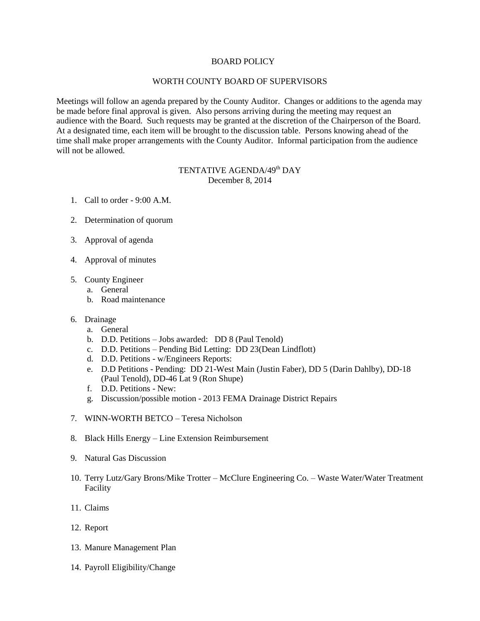## BOARD POLICY

## WORTH COUNTY BOARD OF SUPERVISORS

Meetings will follow an agenda prepared by the County Auditor. Changes or additions to the agenda may be made before final approval is given. Also persons arriving during the meeting may request an audience with the Board. Such requests may be granted at the discretion of the Chairperson of the Board. At a designated time, each item will be brought to the discussion table. Persons knowing ahead of the time shall make proper arrangements with the County Auditor. Informal participation from the audience will not be allowed.

## TENTATIVE AGENDA/49<sup>th</sup> DAY December 8, 2014

- 1. Call to order 9:00 A.M.
- 2. Determination of quorum
- 3. Approval of agenda
- 4. Approval of minutes
- 5. County Engineer
	- a. General
	- b. Road maintenance
- 6. Drainage
	- a. General
	- b. D.D. Petitions Jobs awarded: DD 8 (Paul Tenold)
	- c. D.D. Petitions Pending Bid Letting: DD 23(Dean Lindflott)
	- d. D.D. Petitions w/Engineers Reports:
	- e. D.D Petitions Pending: DD 21-West Main (Justin Faber), DD 5 (Darin Dahlby), DD-18 (Paul Tenold), DD-46 Lat 9 (Ron Shupe)
	- f. D.D. Petitions New:
	- g. Discussion/possible motion 2013 FEMA Drainage District Repairs
- 7. WINN-WORTH BETCO Teresa Nicholson
- 8. Black Hills Energy Line Extension Reimbursement
- 9. Natural Gas Discussion
- 10. Terry Lutz/Gary Brons/Mike Trotter McClure Engineering Co. Waste Water/Water Treatment Facility
- 11. Claims
- 12. Report
- 13. Manure Management Plan
- 14. Payroll Eligibility/Change